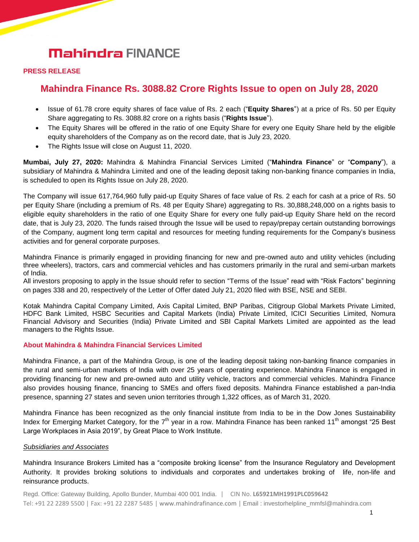# **Mahindra FINANCE**

#### **PRESS RELEASE**

### **Mahindra Finance Rs. 3088.82 Crore Rights Issue to open on July 28, 2020**

- Issue of 61.78 crore equity shares of face value of Rs. 2 each ("**Equity Shares**") at a price of Rs. 50 per Equity Share aggregating to Rs. 3088.82 crore on a rights basis ("**Rights Issue**").
- The Equity Shares will be offered in the ratio of one Equity Share for every one Equity Share held by the eligible equity shareholders of the Company as on the record date, that is July 23, 2020.
- The Rights Issue will close on August 11, 2020.

**Mumbai, July 27, 2020:** Mahindra & Mahindra Financial Services Limited ("**Mahindra Finance**" or "**Company**"), a subsidiary of Mahindra & Mahindra Limited and one of the leading deposit taking non-banking finance companies in India, is scheduled to open its Rights Issue on July 28, 2020.

The Company will issue 617,764,960 fully paid-up Equity Shares of face value of Rs. 2 each for cash at a price of Rs. 50 per Equity Share (including a premium of Rs. 48 per Equity Share) aggregating to Rs. 30,888,248,000 on a rights basis to eligible equity shareholders in the ratio of one Equity Share for every one fully paid-up Equity Share held on the record date, that is July 23, 2020. The funds raised through the Issue will be used to repay/prepay certain outstanding borrowings of the Company, augment long term capital and resources for meeting funding requirements for the Company's business activities and for general corporate purposes.

Mahindra Finance is primarily engaged in providing financing for new and pre-owned auto and utility vehicles (including three wheelers), tractors, cars and commercial vehicles and has customers primarily in the rural and semi-urban markets of India.

All investors proposing to apply in the Issue should refer to section "Terms of the Issue" read with "Risk Factors" beginning on pages 338 and 20, respectively of the Letter of Offer dated July 21, 2020 filed with BSE, NSE and SEBI.

Kotak Mahindra Capital Company Limited, Axis Capital Limited, BNP Paribas, Citigroup Global Markets Private Limited, HDFC Bank Limited, HSBC Securities and Capital Markets (India) Private Limited, ICICI Securities Limited, Nomura Financial Advisory and Securities (India) Private Limited and SBI Capital Markets Limited are appointed as the lead managers to the Rights Issue.

#### **About Mahindra & Mahindra Financial Services Limited**

Mahindra Finance, a part of the Mahindra Group, is one of the leading deposit taking non-banking finance companies in the rural and semi-urban markets of India with over 25 years of operating experience. Mahindra Finance is engaged in providing financing for new and pre-owned auto and utility vehicle, tractors and commercial vehicles. Mahindra Finance also provides housing finance, financing to SMEs and offers fixed deposits. Mahindra Finance established a pan-India presence, spanning 27 states and seven union territories through 1,322 offices, as of March 31, 2020.

Mahindra Finance has been recognized as the only financial institute from India to be in the Dow Jones Sustainability Index for Emerging Market Category, for the  $7<sup>th</sup>$  year in a row. Mahindra Finance has been ranked 11<sup>th</sup> amongst "25 Best Large Workplaces in Asia 2019", by Great Place to Work Institute.

#### *Subsidiaries and Associates*

Mahindra Insurance Brokers Limited has a "composite broking license" from the Insurance Regulatory and Development Authority. It provides broking solutions to individuals and corporates and undertakes broking of life, non-life and reinsurance products.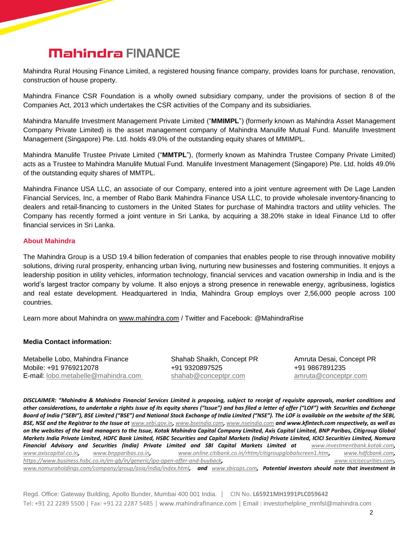## **Mahindra FINANCE**

Mahindra Rural Housing Finance Limited, a registered housing finance company, provides loans for purchase, renovation, construction of house property.

Mahindra Finance CSR Foundation is a wholly owned subsidiary company, under the provisions of section 8 of the Companies Act, 2013 which undertakes the CSR activities of the Company and its subsidiaries.

Mahindra Manulife Investment Management Private Limited ("**MMIMPL**") (formerly known as Mahindra Asset Management Company Private Limited) is the asset management company of Mahindra Manulife Mutual Fund. Manulife Investment Management (Singapore) Pte. Ltd. holds 49.0% of the outstanding equity shares of MMIMPL.

Mahindra Manulife Trustee Private Limited ("**MMTPL**"), (formerly known as Mahindra Trustee Company Private Limited) acts as a Trustee to Mahindra Manulife Mutual Fund. Manulife Investment Management (Singapore) Pte. Ltd. holds 49.0% of the outstanding equity shares of MMTPL.

Mahindra Finance USA LLC, an associate of our Company, entered into a joint venture agreement with De Lage Landen Financial Services, Inc, a member of Rabo Bank Mahindra Finance USA LLC, to provide wholesale inventory-financing to dealers and retail-financing to customers in the United States for purchase of Mahindra tractors and utility vehicles. The Company has recently formed a joint venture in Sri Lanka, by acquiring a 38.20% stake in Ideal Finance Ltd to offer financial services in Sri Lanka.

#### **About Mahindra**

The Mahindra Group is a USD 19.4 billion federation of companies that enables people to rise through innovative mobility solutions, driving rural prosperity, enhancing urban living, nurturing new businesses and fostering communities. It enjoys a leadership position in utility vehicles, information technology, financial services and vacation ownership in India and is the world's largest tractor company by volume. It also enjoys a strong presence in renewable energy, agribusiness, logistics and real estate development. Headquartered in India, Mahindra Group employs over 2,56,000 people across 100 countries.

Learn more about Mahindra on [www.mahindra.com](http://www.mahindra.com/) / Twitter and Facebook: @MahindraRise

#### **Media Contact information:**

Metabelle Lobo, Mahindra Finance Shahab Shaikh, Concept PR Amruta Desai, Concept PR Mobile: [+91 9769212078](tel:+91%2098230%2093000) +91 9320897525 +91 9867891235 E-mail: [lobo.metabelle@mahindra.com](mailto:lobo.metabelle@mahindra.com) [shahab@conceptpr.com](mailto:shahab@conceptpr.com) [amruta@conceptpr.com](mailto:amruta@conceptpr.com)

*DISCLAIMER: "Mahindra & Mahindra Financial Services Limited is proposing, subject to receipt of requisite approvals, market conditions and other considerations, to undertake a rights issue of its equity shares ("Issue") and has filed a letter of offer ("LOF") with Securities and Exchange Board of India ("SEBI"), BSE Limited ("BSE") and National Stock Exchange of India Limited ("NSE"). The LOF is available on the website of the SEBI,*  BSE, NSE and the Registrar to the Issue at *[www.sebi.gov.in](http://www.sebi.gov.in/), [www.bseindia.com](http://www.bseindia.com/), [www.nseindia.com](http://www.nseindia.com/)* **and www.kfintech.com respectively, as well as** *on the websites of the lead managers to the Issue, Kotak Mahindra Capital Company Limited, Axis Capital Limited, BNP Paribas, Citigroup Global Markets India Private Limited, HDFC Bank Limited, HSBC Securities and Capital Markets (India) Private Limited, ICICI Securities Limited, Nomura Financial Advisory and Securities (India) Private Limited and SBI Capital Markets Limited at [www.investmentbank.kotak.com](http://www.investmentbank.kotak.com/), [www.axiscapital.co.in](http://www.axiscapital.co.in/), [www.bnpparibas.co.in](http://www.bnpparibas.co.in/), [www.online.citibank.co.in/rhtm/citigroupglobalscreen1.htm](http://www.online.citibank.co.in/rhtm/citigroupglobalscreen1.htm), [www.hdfcbank.com](http://www.hdfcbank.com/), <https://www.business.hsbc.co.in/en-gb/in/generic/ipo-open-offer-and-buyback>, [www.icicisecurities.com](http://www.icicisecurities.com/), [www.nomuraholdings.com/company/group/asia/india/index.html](http://www.nomuraholdings.com/company/group/asia/india/index.html), and [www.sbicaps.com](http://www.sbicaps.com/), Potential investors should note that investment in* 

Regd. Office: Gateway Building, Apollo Bunder, Mumbai 400 001 India. | CIN No. **L65921MH1991PLC059642**  Tel: +91 22 2289 5500 | Fax: +91 22 2287 5485 | www.mahindrafinance.com | Email : investorhelpline\_mmfsl@mahindra.com